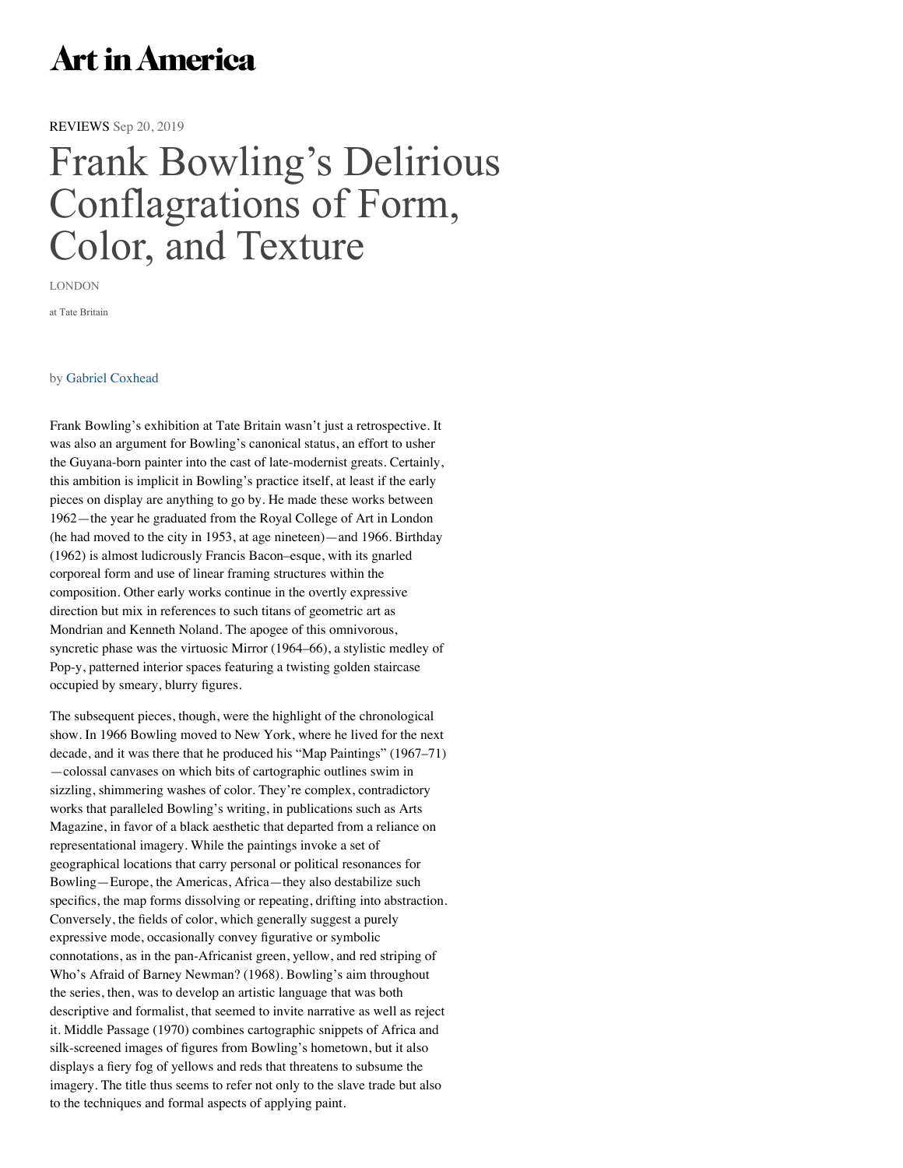## **Art in America**

[REVIEWS](http://www.artinamericamagazine.com/news-features/reviews) Sep 20, 2019

## [Frank Bowling's Delirious](https://googleads.g.doubleclick.net/pcs/click?xai=AKAOjstquMQtIt8SdQ-B8OxR45KFKjReHk2hM-AuvoJq6hv9gCaIKo31moe0xe1rR3GQxMi5OwUbFcowZ15daWyzq_38vN_Ce8gBPx2Ckj-sCSk30y4Tq4doTKjBDVyDeTBR-f6EU0Zf5g7vViNdy3NGZNc0RBMfxJHElZ4wVUtQHyTd8oKzC8l1ODHnB8jQQFHvLP4HG9W_luPOTfe-PYFvocKqGtN9Wz8H0lFErqatJdq5sjDxIn3FlGL-ZL_VjozXMm4W1YSROMU2fEM89gS2Ht0wFyiql9RYF96y&sig=Cg0ArKJSzH5Un38AcfM8&adurl=https://www.artinamericamagazine.com/newsletter/&nm=4) Conflagrations of Form, Color, and Texture

LONDON

[at Tate Britain](https://www.artinamericamagazine.com/)

## by [Gabriel Coxhead](https://www.artinamericamagazine.com/author/gabriel-coxhead/)

Frank Bowling's e[xhibition at Tate Britain wasn't](https://www.artinamericamagazine.com/news-features/) [just a retrospective.](https://www.artinamericamagazine.com/reviews/) [It](https://www.artinamericamagazine.com/magazine/)  was also an argument for Bowling's canonical status, an effort to usher the Guyana-born painter into the cast of late-modernist greats. Certainly, this ambition is implicit in Bowling's practice itself, at least if the early pieces on display are anything to go by. He made these works between 1962—the year he graduated from the Royal College of Art in London (he had moved to the city in 1953, at age nineteen)—and 1966. Birthday (1962) is almost ludicrously Francis Bacon–esque, with its gnarled corporeal form and use of linear framing structures within the composition. Other early works continue in the overtly expressive direction but mix in references to such titans of geometric art as Mondrian and Kenneth Noland. The apogee of this omnivorous, syncretic phase was the virtuosic Mirror (1964–66), a stylistic medley of Pop-y, patterned interior spaces featuring a twisting golden staircase occupied by smeary, blurry figures.

The subsequent pieces, though, were the highlight of the chronological show. In 1966 Bowling moved to New York, where he lived for the next decade, and it was there that he produced his "Map Paintings" (1967–71) —colossal canvases on which bits of cartographic outlines swim in sizzling, shimmering washes of color. They're complex, contradictory works that paralleled Bowling's writing, in publications such as Arts Magazine, in favor of a [black aesthetic that departed from a reliance on](https://www.artinamericamagazine.com/slideshow/101901/1/182895)  representational imagery. While the paintings invoke a set of geographical locations that carry personal or political resonances for Bowling—Europe, the Americas, Africa—they also destabilize such specifics, the map forms dissolving or repeating, drifting into abstraction. Conversely, the fields of color, which generally suggest a purely expressive mode, occasionally convey figurative or symbolic connotations, as in the pan-Africanist green, yellow, and red striping of Who's Afraid of Barney Newman? (1968). Bowling's aim throughout the series, then, was to develop an artistic language that was both descriptive and formalist, that seemed to invite narrative as well as reject it. Middle Passage (1970) combines cartographic snippets of Africa and silk-screened images of figures from Bowling's hometown, but it also displays a fiery fog of yellows and reds that threatens to subsume the imagery. The title thus seems to refer not only to the slave trade but also to the techniques and formal aspects of applying paint.